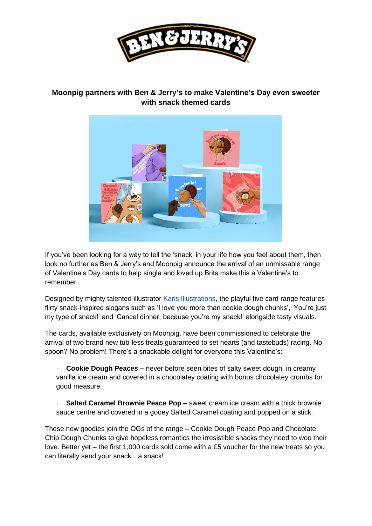

## **Moonpig partners with Ben & Jerry's to make Valentine's Day even sweeter with snack themed cards**



If you've been looking for a way to tell the 'snack' in your life how you feel about them, then look no further as Ben & Jerry's and Moonpig announce the arrival of an unmissable range of Valentine's Day cards to help single and loved up Brits make this a Valentine's to remember.

Designed by mighty talented illustrato[r](https://www.instagram.com/karisrillustrations/) [Karis Illustrations,](https://www.instagram.com/karisrillustrations/) the playful five card range features flirty snack-inspired slogans such as 'I love you more than cookie dough chunks', 'You're just my type of snack!' and 'Cancel dinner, because you're my snack!' alongside tasty visuals.

The cards, available exclusively on Moonpig, have been commissioned to celebrate the arrival of two brand new tub-less treats guaranteed to set hearts (and tastebuds) racing. No spoon? No problem! There's a snackable delight for everyone this Valentine's:

· **Cookie Dough Peaces –** never before seen bites of salty sweet dough, in creamy vanilla ice cream and covered in a chocolatey coating with bonus chocolatey crumbs for good measure.

· **Salted Caramel Brownie Peace Pop –** sweet cream ice cream with a thick brownie sauce centre and covered in a gooey Salted Caramel coating and popped on a stick.

These new goodies join the OGs of the range – Cookie Dough Peace Pop and Chocolate Chip Dough Chunks to give hopeless romantics the irresistible snacks they need to woo their love. Better yet – the first 1,000 cards sold come with a £5 voucher for the new treats so you can literally send your snack…a snack!